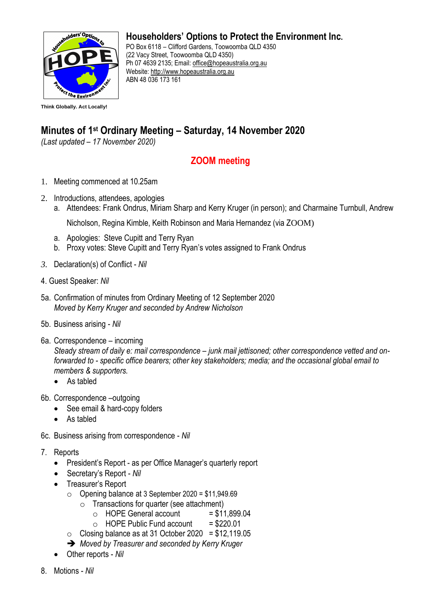

**Householders' Options to Protect the Environment Inc.**

PO Box 6118 – Clifford Gardens, Toowoomba QLD 4350 (22 Vacy Street, Toowoomba QLD 4350) Ph 07 4639 2135; Email: [office@hopeaustralia.org.au](about:blank)  Website: [http://www.hopeaustralia.org.au](about:blank) ABN 48 036 173 161

## **Minutes of 1 st Ordinary Meeting – Saturday, 14 November 2020**

*(Last updated – 17 November 2020)*

## **ZOOM meeting**

- 1. Meeting commenced at 10.25am
- 2. Introductions, attendees, apologies
	- a. Attendees: Frank Ondrus, Miriam Sharp and Kerry Kruger (in person); and Charmaine Turnbull, Andrew

Nicholson, Regina Kimble, Keith Robinson and Maria Hernandez (via ZOOM)

- a. Apologies: Steve Cupitt and Terry Ryan
- b. Proxy votes: Steve Cupitt and Terry Ryan's votes assigned to Frank Ondrus
- *3.* Declaration(s) of Conflict *Nil*
- 4. Guest Speaker: *Nil*
- 5a. Confirmation of minutes from Ordinary Meeting of 12 September 2020 *Moved by Kerry Kruger and seconded by Andrew Nicholson*
- 5b. Business arising *Nil*
- 6a. Correspondence incoming

*Steady stream of daily e: mail correspondence – junk mail jettisoned; other correspondence vetted and onforwarded to - specific office bearers; other key stakeholders; media; and the occasional global email to members & supporters.* 

- As tabled
- 6b. Correspondence –outgoing
	- See email & hard-copy folders
	- As tabled
- 6c. Business arising from correspondence *Nil*
- 7. Reports
	- President's Report as per Office Manager's quarterly report
	- Secretary's Report *Nil*
	- Treasurer's Report
		- $\circ$  Opening balance at 3 September 2020 = \$11,949.69
			- $\circ$  Transactions for quarter (see attachment)
				- $\circ$  HOPE General account = \$11,899.04
				- $\circ$  HOPE Public Fund account = \$220.01
		- $\circ$  Closing balance as at 31 October 2020 = \$12,119.05
		- ➔ *Moved by Treasurer and seconded by Kerry Kruger*
	- Other reports *Nil*
- 8. Motions *Nil*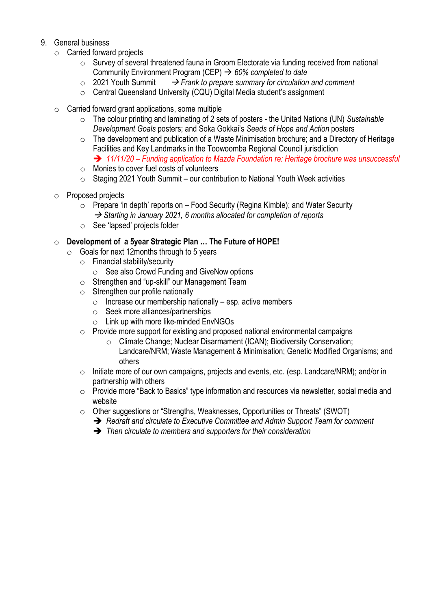## 9. General business

- o Carried forward projects
	- o Survey of several threatened fauna in Groom Electorate via funding received from national Community Environment Program (CEP) → *60% completed to date*
	- o 2021 Youth Summit → *Frank to prepare summary for circulation and comment*
	- o Central Queensland University (CQU) Digital Media student's assignment
- $\circ$  Carried forward grant applications, some multiple
	- o The colour printing and laminating of 2 sets of posters the United Nations (UN) *Sustainable Development Goals* posters; and Soka Gokkai's *Seeds of Hope and Action* posters
	- o The development and publication of a Waste Minimisation brochure; and a Directory of Heritage Facilities and Key Landmarks in the Toowoomba Regional Council jurisdiction ➔ *11/11/20 – Funding application to Mazda Foundation re: Heritage brochure was unsuccessful*
	- o Monies to cover fuel costs of volunteers
	- $\circ$  Staging 2021 Youth Summit our contribution to National Youth Week activities
- o Proposed projects
	- $\circ$  Prepare 'in depth' reports on Food Security (Regina Kimble); and Water Security → *Starting in January 2021, 6 months allocated for completion of reports*
	- o See 'lapsed' projects folder

## o **Development of a 5year Strategic Plan … The Future of HOPE!**

- $\circ$  Goals for next 12 months through to 5 years
	- o Financial stability/security
		- o See also Crowd Funding and GiveNow options
	- o Strengthen and "up-skill" our Management Team
	- $\circ$  Strengthen our profile nationally
		- $\circ$  Increase our membership nationally esp. active members
		- o Seek more alliances/partnerships
		- $\circ$  Link up with more like-minded EnvNGOs
	- o Provide more support for existing and proposed national environmental campaigns
		- o Climate Change; Nuclear Disarmament (ICAN); Biodiversity Conservation; Landcare/NRM; Waste Management & Minimisation; Genetic Modified Organisms; and others
	- $\circ$  Initiate more of our own campaigns, projects and events, etc. (esp. Landcare/NRM); and/or in partnership with others
	- o Provide more "Back to Basics" type information and resources via newsletter, social media and website
	- o Other suggestions or "Strengths, Weaknesses, Opportunities or Threats" (SWOT)
		- ➔ *Redraft and circulate to Executive Committee and Admin Support Team for comment*
		- ➔ *Then circulate to members and supporters for their consideration*